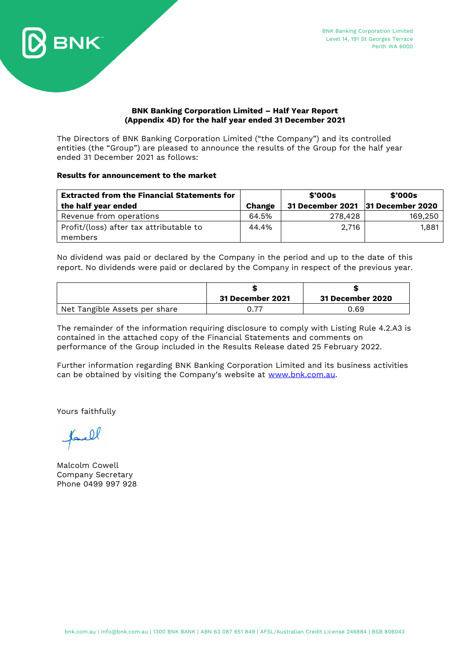

# **BNK Banking Corporation Limited – Half Year Report (Appendix 4D) for the half year ended 31 December 2021**

The Directors of BNK Banking Corporation Limited ("the Company") and its controlled entities (the "Group") are pleased to announce the results of the Group for the half year ended 31 December 2021 as follows:

# **Results for announcement to the market**

| <b>Extracted from the Financial Statements for</b> |        | \$'000s                           | \$'000s |
|----------------------------------------------------|--------|-----------------------------------|---------|
| the half year ended                                | Change | 31 December 2021 31 December 2020 |         |
| Revenue from operations                            | 64.5%  | 278.428                           | 169,250 |
| Profit/(loss) after tax attributable to            | 44.4%  | 2,716                             | 1,881   |
| members                                            |        |                                   |         |

No dividend was paid or declared by the Company in the period and up to the date of this report. No dividends were paid or declared by the Company in respect of the previous year.

|                               | 31 December 2021 | <b>31 December 2020</b> |
|-------------------------------|------------------|-------------------------|
| Net Tangible Assets per share |                  | 0.69                    |

The remainder of the information requiring disclosure to comply with Listing Rule 4.2.A3 is contained in the attached copy of the Financial Statements and comments on performance of the Group included in the Results Release dated 25 February 2022.

Further information regarding BNK Banking Corporation Limited and its business activities can be obtained by visiting the Company's website at [www.bnk.com.au.](http://www.bnk.com.au/)

Yours faithfully

 $.0$ 

Malcolm Cowell Company Secretary Phone 0499 997 928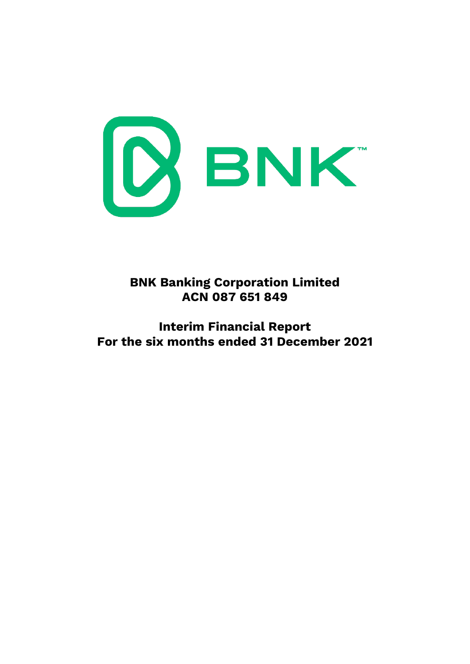

**BNK Banking Corporation Limited ACN 087 651 849**

**Interim Financial Report For the six months ended 31 December 2021**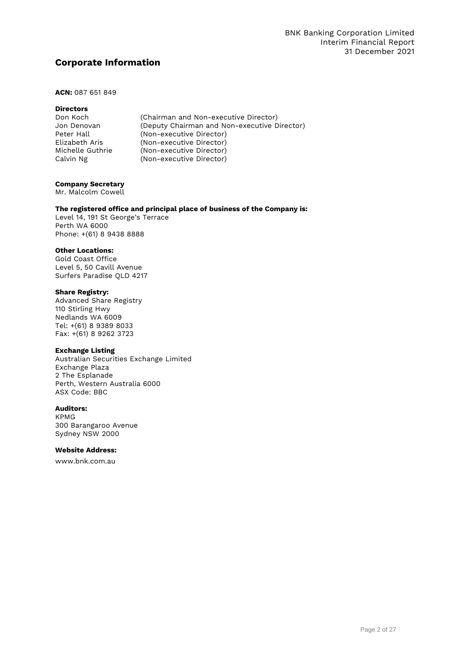# **Corporate Information**

# **ACN:** 087 651 849

# **Directors**<br>Don Koch

| Don Koch         | (Chairman and Non-executive Director)        |
|------------------|----------------------------------------------|
| Jon Denovan      | (Deputy Chairman and Non-executive Director) |
| Peter Hall       | (Non-executive Director)                     |
| Elizabeth Aris   | (Non-executive Director)                     |
| Michelle Guthrie | (Non-executive Director)                     |
| Calvin Ng        | (Non-executive Director)                     |

#### **Company Secretary**

Mr. Malcolm Cowell

# **The registered office and principal place of business of the Company is:**

Level 14, 191 St George's Terrace Perth WA 6000 Phone: +(61) 8 9438 8888

# **Other Locations:**

Gold Coast Office Level 5, 50 Cavill Avenue Surfers Paradise QLD 4217

#### **Share Registry:**

Advanced Share Registry 110 Stirling Hwy Nedlands WA 6009 Tel: +(61) 8 9389 8033 Fax: +(61) 8 9262 3723

# **Exchange Listing**

Australian Securities Exchange Limited Exchange Plaza 2 The Esplanade Perth, Western Australia 6000 ASX Code: BBC

#### **Auditors:**

KPMG 300 Barangaroo Avenue Sydney NSW 2000

#### **Website Address:**

[www.bnk.com.au](http://www.goldfieldsmoney.com.au/)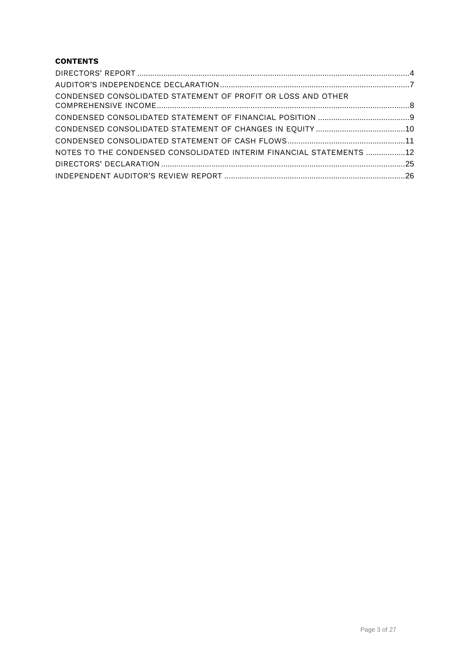# **CONTENTS**

| CONDENSED CONSOLIDATED STATEMENT OF PROFIT OR LOSS AND OTHER         |  |
|----------------------------------------------------------------------|--|
|                                                                      |  |
|                                                                      |  |
|                                                                      |  |
| NOTES TO THE CONDENSED CONSOLIDATED INTERIM FINANCIAL STATEMENTS  12 |  |
|                                                                      |  |
|                                                                      |  |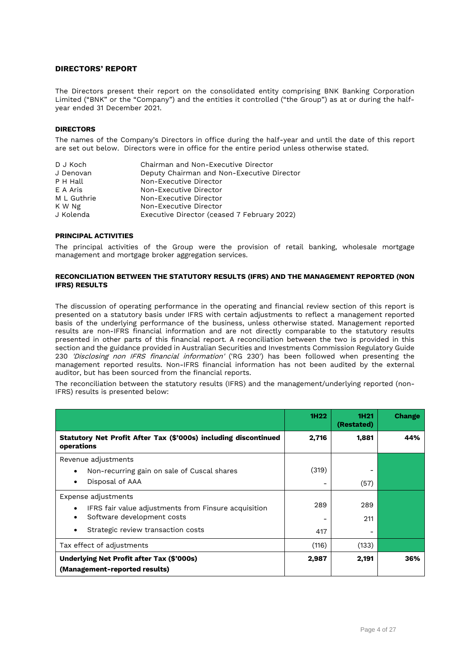# <span id="page-4-0"></span>**DIRECTORS' REPORT**

The Directors present their report on the consolidated entity comprising BNK Banking Corporation Limited ("BNK" or the "Company") and the entities it controlled ("the Group") as at or during the halfyear ended 31 December 2021.

#### **DIRECTORS**

The names of the Company's Directors in office during the half-year and until the date of this report are set out below. Directors were in office for the entire period unless otherwise stated.

| D J Koch    | Chairman and Non-Executive Director         |
|-------------|---------------------------------------------|
| J Denovan   | Deputy Chairman and Non-Executive Director  |
| P H Hall    | Non-Executive Director                      |
| E A Aris    | Non-Executive Director                      |
| M L Guthrie | Non-Executive Director                      |
| K W Ng      | Non-Executive Director                      |
| J Kolenda   | Executive Director (ceased 7 February 2022) |

#### **PRINCIPAL ACTIVITIES**

The principal activities of the Group were the provision of retail banking, wholesale mortgage management and mortgage broker aggregation services.

#### **RECONCILIATION BETWEEN THE STATUTORY RESULTS (IFRS) AND THE MANAGEMENT REPORTED (NON IFRS) RESULTS**

The discussion of operating performance in the operating and financial review section of this report is presented on a statutory basis under IFRS with certain adjustments to reflect a management reported basis of the underlying performance of the business, unless otherwise stated. Management reported results are non-IFRS financial information and are not directly comparable to the statutory results presented in other parts of this financial report. A reconciliation between the two is provided in this section and the guidance provided in Australian Securities and Investments Commission Regulatory Guide 230 'Disclosing non IFRS financial information' ('RG 230') has been followed when presenting the management reported results. Non-IFRS financial information has not been audited by the external auditor, but has been sourced from the financial reports.

The reconciliation between the statutory results (IFRS) and the management/underlying reported (non-IFRS) results is presented below:

|                                                                                                                                                 | 1H <sub>22</sub> | 1H <sub>21</sub><br>(Restated) | <b>Change</b> |
|-------------------------------------------------------------------------------------------------------------------------------------------------|------------------|--------------------------------|---------------|
| Statutory Net Profit After Tax (\$'000s) including discontinued<br>operations                                                                   | 2,716            | 1,881                          | 44%           |
| Revenue adjustments<br>Non-recurring gain on sale of Cuscal shares<br>Disposal of AAA                                                           | (319)            | (57)                           |               |
| Expense adjustments<br>IFRS fair value adjustments from Finsure acquisition<br>Software development costs<br>Strategic review transaction costs | 289<br>417       | 289<br>211                     |               |
| Tax effect of adjustments                                                                                                                       | (116)            | (133)                          |               |
| <b>Underlying Net Profit after Tax (\$'000s)</b><br>(Management-reported results)                                                               | 2,987            | 2,191                          | 36%           |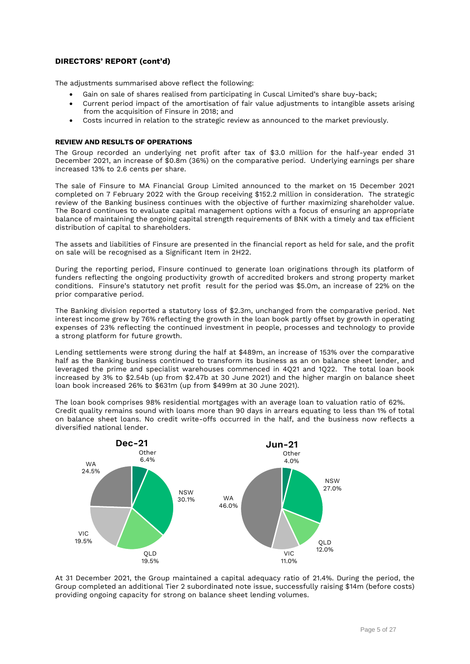# **DIRECTORS' REPORT (cont'd)**

The adjustments summarised above reflect the following:

- Gain on sale of shares realised from participating in Cuscal Limited's share buy-back;
- Current period impact of the amortisation of fair value adjustments to intangible assets arising from the acquisition of Finsure in 2018; and
- Costs incurred in relation to the strategic review as announced to the market previously.

# **REVIEW AND RESULTS OF OPERATIONS**

The Group recorded an underlying net profit after tax of \$3.0 million for the half-year ended 31 December 2021, an increase of \$0.8m (36%) on the comparative period. Underlying earnings per share increased 13% to 2.6 cents per share.

The sale of Finsure to MA Financial Group Limited announced to the market on 15 December 2021 completed on 7 February 2022 with the Group receiving \$152.2 million in consideration. The strategic review of the Banking business continues with the objective of further maximizing shareholder value. The Board continues to evaluate capital management options with a focus of ensuring an appropriate balance of maintaining the ongoing capital strength requirements of BNK with a timely and tax efficient distribution of capital to shareholders.

The assets and liabilities of Finsure are presented in the financial report as held for sale, and the profit on sale will be recognised as a Significant Item in 2H22.

During the reporting period, Finsure continued to generate loan originations through its platform of funders reflecting the ongoing productivity growth of accredited brokers and strong property market conditions. Finsure's statutory net profit result for the period was \$5.0m, an increase of 22% on the prior comparative period.

The Banking division reported a statutory loss of \$2.3m, unchanged from the comparative period. Net interest income grew by 76% reflecting the growth in the loan book partly offset by growth in operating expenses of 23% reflecting the continued investment in people, processes and technology to provide a strong platform for future growth.

Lending settlements were strong during the half at \$489m, an increase of 153% over the comparative half as the Banking business continued to transform its business as an on balance sheet lender, and leveraged the prime and specialist warehouses commenced in 4Q21 and 1Q22. The total loan book increased by 3% to \$2.54b (up from \$2.47b at 30 June 2021) and the higher margin on balance sheet loan book increased 26% to \$631m (up from \$499m at 30 June 2021).

The loan book comprises 98% residential mortgages with an average loan to valuation ratio of 62%. Credit quality remains sound with loans more than 90 days in arrears equating to less than 1% of total on balance sheet loans. No credit write-offs occurred in the half, and the business now reflects a diversified national lender.



At 31 December 2021, the Group maintained a capital adequacy ratio of 21.4%. During the period, the Group completed an additional Tier 2 subordinated note issue, successfully raising \$14m (before costs) providing ongoing capacity for strong on balance sheet lending volumes.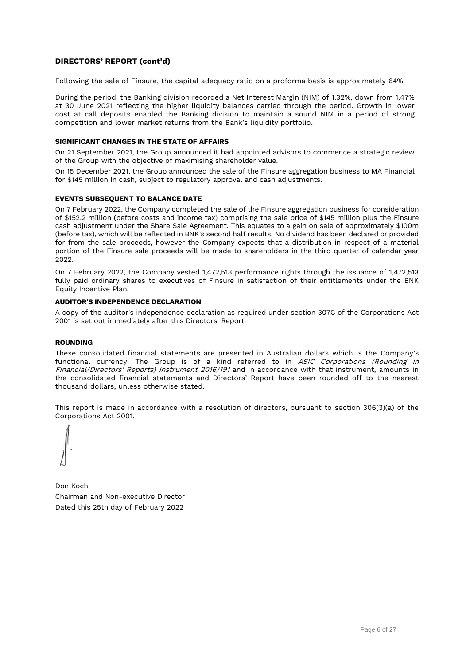# **DIRECTORS' REPORT (cont'd)**

Following the sale of Finsure, the capital adequacy ratio on a proforma basis is approximately 64%.

During the period, the Banking division recorded a Net Interest Margin (NIM) of 1.32%, down from 1.47% at 30 June 2021 reflecting the higher liquidity balances carried through the period. Growth in lower cost at call deposits enabled the Banking division to maintain a sound NIM in a period of strong competition and lower market returns from the Bank's liquidity portfolio.

### **SIGNIFICANT CHANGES IN THE STATE OF AFFAIRS**

On 21 September 2021, the Group announced it had appointed advisors to commence a strategic review of the Group with the objective of maximising shareholder value.

On 15 December 2021, the Group announced the sale of the Finsure aggregation business to MA Financial for \$145 million in cash, subject to regulatory approval and cash adjustments.

#### **EVENTS SUBSEQUENT TO BALANCE DATE**

On 7 February 2022, the Company completed the sale of the Finsure aggregation business for consideration of \$152.2 million (before costs and income tax) comprising the sale price of \$145 million plus the Finsure cash adjustment under the Share Sale Agreement. This equates to a gain on sale of approximately \$100m (before tax), which will be reflected in BNK's second half results. No dividend has been declared or provided for from the sale proceeds, however the Company expects that a distribution in respect of a material portion of the Finsure sale proceeds will be made to shareholders in the third quarter of calendar year 2022.

On 7 February 2022, the Company vested 1,472,513 performance rights through the issuance of 1,472,513 fully paid ordinary shares to executives of Finsure in satisfaction of their entitlements under the BNK Equity Incentive Plan.

### **AUDITOR'S INDEPENDENCE DECLARATION**

A copy of the auditor's independence declaration as required under section 307C of the Corporations Act 2001 is set out immediately after this Directors' Report.

#### **ROUNDING**

These consolidated financial statements are presented in Australian dollars which is the Company's functional currency. The Group is of a kind referred to in ASIC Corporations (Rounding in Financial/Directors' Reports) Instrument 2016/191 and in accordance with that instrument, amounts in the consolidated financial statements and Directors' Report have been rounded off to the nearest thousand dollars, unless otherwise stated.

This report is made in accordance with a resolution of directors, pursuant to section 306(3)(a) of the Corporations Act 2001.

Don Koch Chairman and Non-executive Director Dated this 25th day of February 2022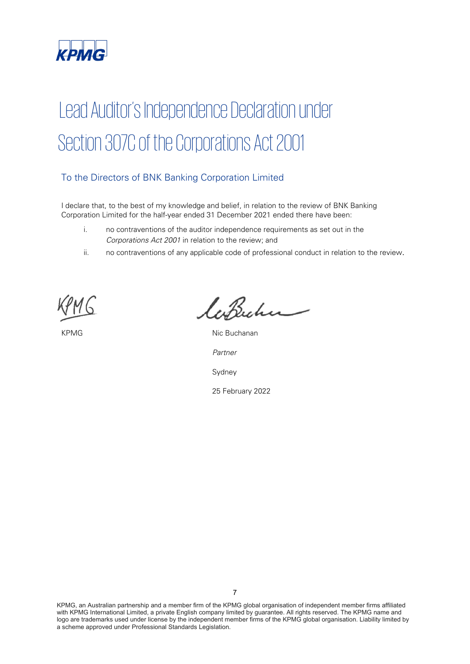

# Lead Auditor's Independence Declaration under Section 307C of the Corporations Act 2001

# To the Directors of BNK Banking Corporation Limited

I declare that, to the best of my knowledge and belief, in relation to the review of BNK Banking Corporation Limited for the half-year ended 31 December 2021 ended there have been:

- i. no contraventions of the auditor independence requirements as set out in the Corporations Act 2001 in relation to the review; and
- ii. no contraventions of any applicable code of professional conduct in relation to the review.

laBucher

KPMG Nic Buchanan Partner Sydney

25 February 2022

KPMG, an Australian partnership and a member firm of the KPMG global organisation of independent member firms affiliated with KPMG International Limited, a private English company limited by guarantee. All rights reserved. The KPMG name and logo are trademarks used under license by the independent member firms of the KPMG global organisation. Liability limited by a scheme approved under Professional Standards Legislation.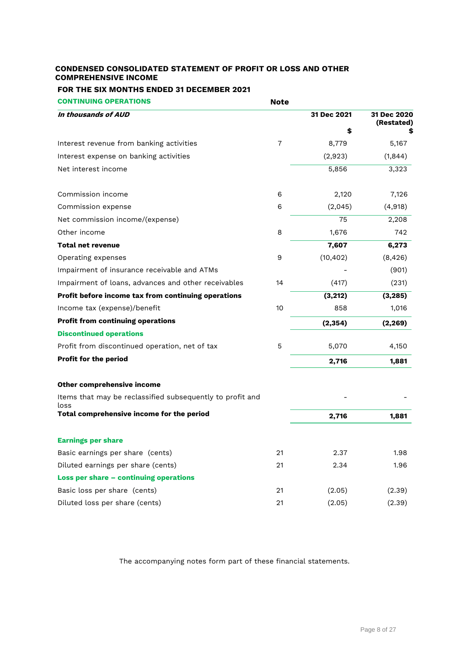# <span id="page-8-0"></span>**CONDENSED CONSOLIDATED STATEMENT OF PROFIT OR LOSS AND OTHER COMPREHENSIVE INCOME**

# **FOR THE SIX MONTHS ENDED 31 DECEMBER 2021**

**CONTINUING OPERATIONS Note**

| In thousands of AUD                                               |                | 31 Dec 2021 | 31 Dec 2020<br>(Restated) |
|-------------------------------------------------------------------|----------------|-------------|---------------------------|
|                                                                   |                | \$          |                           |
| Interest revenue from banking activities                          | $\overline{7}$ | 8,779       | 5,167                     |
| Interest expense on banking activities                            |                | (2,923)     | (1,844)                   |
| Net interest income                                               |                | 5,856       | 3,323                     |
| Commission income                                                 | 6              | 2,120       | 7,126                     |
| Commission expense                                                | 6              | (2,045)     | (4,918)                   |
| Net commission income/(expense)                                   |                | 75          | 2,208                     |
| Other income                                                      | 8              | 1,676       | 742                       |
| <b>Total net revenue</b>                                          |                | 7,607       | 6,273                     |
| Operating expenses                                                | 9              | (10, 402)   | (8, 426)                  |
| Impairment of insurance receivable and ATMs                       |                |             | (901)                     |
| Impairment of loans, advances and other receivables               | 14             | (417)       | (231)                     |
| Profit before income tax from continuing operations               |                | (3, 212)    | (3, 285)                  |
| Income tax (expense)/benefit                                      | 10             | 858         | 1,016                     |
| <b>Profit from continuing operations</b>                          |                | (2, 354)    | (2, 269)                  |
| <b>Discontinued operations</b>                                    |                |             |                           |
| Profit from discontinued operation, net of tax                    | 5              | 5,070       | 4,150                     |
| Profit for the period                                             |                | 2,716       | 1,881                     |
| Other comprehensive income                                        |                |             |                           |
| Items that may be reclassified subsequently to profit and<br>loss |                |             |                           |
| Total comprehensive income for the period                         |                | 2,716       | 1,881                     |
| <b>Earnings per share</b>                                         |                |             |                           |
| Basic earnings per share (cents)                                  | 21             | 2.37        | 1.98                      |
| Diluted earnings per share (cents)                                | 21             | 2.34        | 1.96                      |
| Loss per share - continuing operations                            |                |             |                           |
| Basic loss per share (cents)                                      | 21             | (2.05)      | (2.39)                    |
| Diluted loss per share (cents)                                    | 21             | (2.05)      | (2.39)                    |

The accompanying notes form part of these financial statements.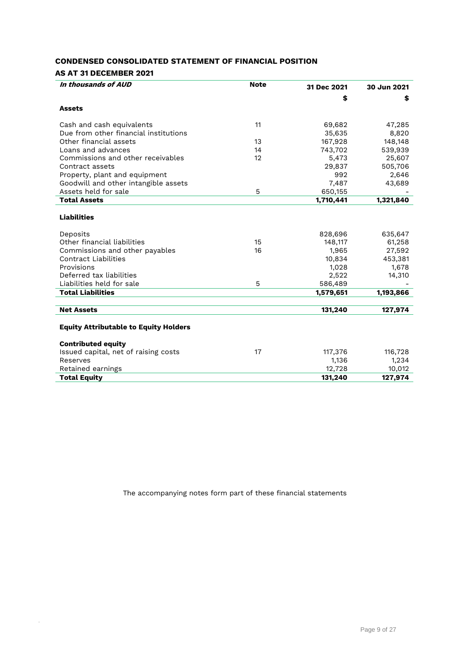# <span id="page-9-0"></span>**CONDENSED CONSOLIDATED STATEMENT OF FINANCIAL POSITION**

# **AS AT 31 DECEMBER 2021**

.

| In thousands of AUD                          | <b>Note</b> | 31 Dec 2021 | 30 Jun 2021 |
|----------------------------------------------|-------------|-------------|-------------|
|                                              |             | \$          | \$          |
| <b>Assets</b>                                |             |             |             |
| Cash and cash equivalents                    | 11          | 69,682      | 47,285      |
| Due from other financial institutions        |             | 35,635      | 8,820       |
| Other financial assets                       | 13          | 167,928     | 148,148     |
| Loans and advances                           | 14          | 743,702     | 539,939     |
| Commissions and other receivables            | 12          | 5,473       | 25,607      |
| Contract assets                              |             | 29,837      | 505,706     |
| Property, plant and equipment                |             | 992         | 2,646       |
| Goodwill and other intangible assets         |             | 7,487       | 43,689      |
| Assets held for sale                         | 5           | 650,155     |             |
| <b>Total Assets</b>                          |             | 1,710,441   | 1,321,840   |
| <b>Liabilities</b>                           |             |             |             |
| Deposits                                     |             | 828,696     | 635,647     |
| Other financial liabilities                  | 15          | 148,117     | 61,258      |
| Commissions and other payables               | 16          | 1,965       | 27,592      |
| <b>Contract Liabilities</b>                  |             | 10,834      | 453,381     |
| Provisions                                   |             | 1,028       | 1,678       |
| Deferred tax liabilities                     |             | 2,522       | 14,310      |
| Liabilities held for sale                    | 5           | 586,489     |             |
| <b>Total Liabilities</b>                     |             | 1,579,651   | 1,193,866   |
|                                              |             |             |             |
| <b>Net Assets</b>                            |             | 131,240     | 127,974     |
| <b>Equity Attributable to Equity Holders</b> |             |             |             |
| <b>Contributed equity</b>                    |             |             |             |
| Issued capital, net of raising costs         | 17          | 117,376     | 116,728     |
| Reserves                                     |             | 1,136       | 1,234       |
| Retained earnings                            |             | 12,728      | 10,012      |
| <b>Total Equity</b>                          |             | 131,240     | 127,974     |
|                                              |             |             |             |

The accompanying notes form part of these financial statements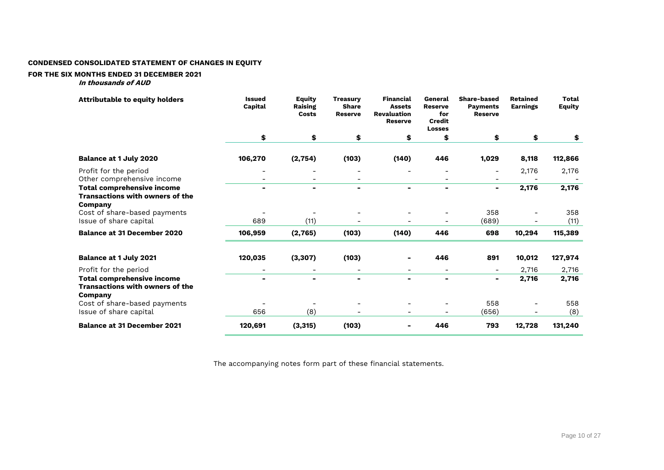# **CONDENSED CONSOLIDATED STATEMENT OF CHANGES IN EQUITY**

#### **FOR THE SIX MONTHS ENDED 31 DECEMBER 2021**

**In thousands of AUD**

<span id="page-10-0"></span>

| <b>Attributable to equity holders</b>                                                                                       | <b>Issued</b><br>Capital | Equity<br><b>Raising</b><br>Costs | <b>Treasury</b><br><b>Share</b><br><b>Reserve</b> | <b>Financial</b><br><b>Assets</b><br><b>Revaluation</b><br><b>Reserve</b> | General<br><b>Reserve</b><br>for<br><b>Credit</b><br><b>Losses</b> | <b>Share-based</b><br><b>Payments</b><br><b>Reserve</b> | <b>Retained</b><br><b>Earnings</b> | <b>Total</b><br><b>Equity</b> |
|-----------------------------------------------------------------------------------------------------------------------------|--------------------------|-----------------------------------|---------------------------------------------------|---------------------------------------------------------------------------|--------------------------------------------------------------------|---------------------------------------------------------|------------------------------------|-------------------------------|
|                                                                                                                             | \$                       | \$                                | \$                                                | \$                                                                        | \$                                                                 | \$                                                      | \$                                 | \$                            |
| <b>Balance at 1 July 2020</b>                                                                                               | 106,270                  | (2, 754)                          | (103)                                             | (140)                                                                     | 446                                                                | 1,029                                                   | 8,118                              | 112,866                       |
| Profit for the period                                                                                                       |                          |                                   |                                                   |                                                                           |                                                                    | $\overline{\phantom{a}}$                                | 2,176                              | 2,176                         |
| Other comprehensive income<br><b>Total comprehensive income</b><br><b>Transactions with owners of the</b><br><b>Company</b> |                          | $\blacksquare$                    |                                                   | $\blacksquare$                                                            |                                                                    | $\blacksquare$                                          | 2,176                              | 2,176                         |
| Cost of share-based payments<br>Issue of share capital                                                                      | 689                      | (11)                              |                                                   |                                                                           |                                                                    | 358<br>(689)                                            |                                    | 358<br>(11)                   |
| <b>Balance at 31 December 2020</b>                                                                                          | 106,959                  | (2,765)                           | (103)                                             | (140)                                                                     | 446                                                                | 698                                                     | 10,294                             | 115,389                       |
| <b>Balance at 1 July 2021</b>                                                                                               | 120,035                  | (3, 307)                          | (103)                                             |                                                                           | 446                                                                | 891                                                     | 10,012                             | 127,974                       |
| Profit for the period                                                                                                       |                          |                                   |                                                   |                                                                           |                                                                    | $\overline{\phantom{a}}$                                | 2,716                              | 2,716                         |
| <b>Total comprehensive income</b><br><b>Transactions with owners of the</b><br>Company                                      |                          | $\blacksquare$                    |                                                   | $\blacksquare$                                                            | $\blacksquare$                                                     | Ξ.                                                      | 2,716                              | 2,716                         |
| Cost of share-based payments                                                                                                |                          |                                   |                                                   |                                                                           |                                                                    | 558                                                     |                                    | 558                           |
| Issue of share capital                                                                                                      | 656                      | (8)                               |                                                   |                                                                           |                                                                    | (656)                                                   |                                    | (8)                           |
| <b>Balance at 31 December 2021</b>                                                                                          | 120,691                  | (3, 315)                          | (103)                                             |                                                                           | 446                                                                | 793                                                     | 12,728                             | 131,240                       |

The accompanying notes form part of these financial statements.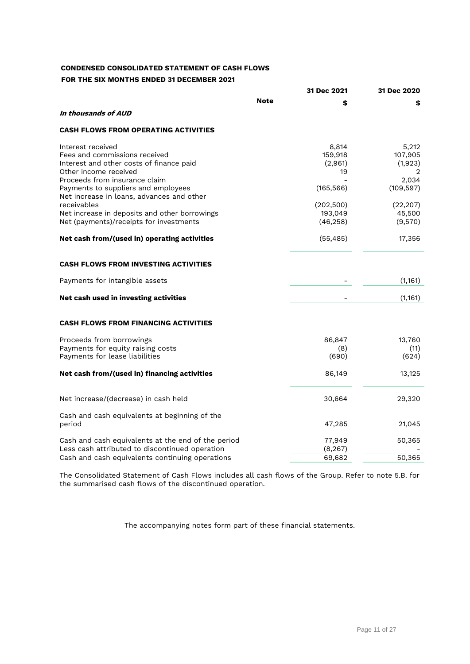# <span id="page-11-0"></span>**CONDENSED CONSOLIDATED STATEMENT OF CASH FLOWS FOR THE SIX MONTHS ENDED 31 DECEMBER 2021**

|                                                                                                                                                                                                                                                                                                                                                         |      | 31 Dec 2021                                                                           | 31 Dec 2020                                                                               |
|---------------------------------------------------------------------------------------------------------------------------------------------------------------------------------------------------------------------------------------------------------------------------------------------------------------------------------------------------------|------|---------------------------------------------------------------------------------------|-------------------------------------------------------------------------------------------|
|                                                                                                                                                                                                                                                                                                                                                         | Note | \$                                                                                    | \$                                                                                        |
| In thousands of AUD                                                                                                                                                                                                                                                                                                                                     |      |                                                                                       |                                                                                           |
| <b>CASH FLOWS FROM OPERATING ACTIVITIES</b>                                                                                                                                                                                                                                                                                                             |      |                                                                                       |                                                                                           |
| Interest received<br>Fees and commissions received<br>Interest and other costs of finance paid<br>Other income received<br>Proceeds from insurance claim<br>Payments to suppliers and employees<br>Net increase in loans, advances and other<br>receivables<br>Net increase in deposits and other borrowings<br>Net (payments)/receipts for investments |      | 8,814<br>159,918<br>(2,961)<br>19<br>(165, 566)<br>(202, 500)<br>193,049<br>(46, 258) | 5,212<br>107,905<br>(1,923)<br>2<br>2,034<br>(109, 597)<br>(22, 207)<br>45,500<br>(9,570) |
| Net cash from/(used in) operating activities                                                                                                                                                                                                                                                                                                            |      | (55, 485)                                                                             | 17,356                                                                                    |
| <b>CASH FLOWS FROM INVESTING ACTIVITIES</b>                                                                                                                                                                                                                                                                                                             |      |                                                                                       |                                                                                           |
| Payments for intangible assets                                                                                                                                                                                                                                                                                                                          |      |                                                                                       | (1, 161)                                                                                  |
| Net cash used in investing activities                                                                                                                                                                                                                                                                                                                   |      |                                                                                       | (1, 161)                                                                                  |
| <b>CASH FLOWS FROM FINANCING ACTIVITIES</b>                                                                                                                                                                                                                                                                                                             |      |                                                                                       |                                                                                           |
| Proceeds from borrowings<br>Payments for equity raising costs<br>Payments for lease liabilities                                                                                                                                                                                                                                                         |      | 86,847<br>(8)<br>(690)                                                                | 13,760<br>(11)<br>(624)                                                                   |
| Net cash from/(used in) financing activities                                                                                                                                                                                                                                                                                                            |      | 86,149                                                                                | 13,125                                                                                    |
| Net increase/(decrease) in cash held                                                                                                                                                                                                                                                                                                                    |      | 30,664                                                                                | 29,320                                                                                    |
| Cash and cash equivalents at beginning of the<br>period                                                                                                                                                                                                                                                                                                 |      | 47,285                                                                                | 21,045                                                                                    |
| Cash and cash equivalents at the end of the period<br>Less cash attributed to discontinued operation                                                                                                                                                                                                                                                    |      | 77,949<br>(8, 267)                                                                    | 50,365                                                                                    |
| Cash and cash equivalents continuing operations                                                                                                                                                                                                                                                                                                         |      | 69,682                                                                                | 50,365                                                                                    |

The Consolidated Statement of Cash Flows includes all cash flows of the Group. Refer to note 5.B. for the summarised cash flows of the discontinued operation.

The accompanying notes form part of these financial statements.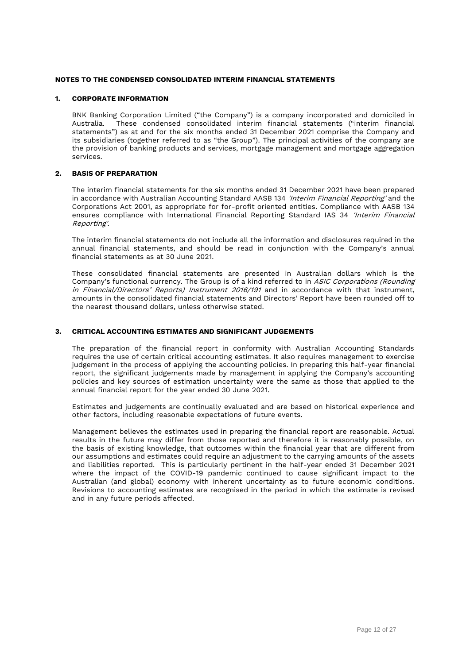## <span id="page-12-0"></span>**1. CORPORATE INFORMATION**

BNK Banking Corporation Limited ("the Company") is a company incorporated and domiciled in Australia. These condensed consolidated interim financial statements ("interim financial statements") as at and for the six months ended 31 December 2021 comprise the Company and its subsidiaries (together referred to as "the Group"). The principal activities of the company are the provision of banking products and services, mortgage management and mortgage aggregation services.

# **2. BASIS OF PREPARATION**

The interim financial statements for the six months ended 31 December 2021 have been prepared in accordance with Australian Accounting Standard AASB 134 'Interim Financial Reporting' and the Corporations Act 2001, as appropriate for for-profit oriented entities. Compliance with AASB 134 ensures compliance with International Financial Reporting Standard IAS 34 'Interim Financial Reporting'.

The interim financial statements do not include all the information and disclosures required in the annual financial statements, and should be read in conjunction with the Company's annual financial statements as at 30 June 2021.

These consolidated financial statements are presented in Australian dollars which is the Company's functional currency. The Group is of a kind referred to in ASIC Corporations (Rounding in Financial/Directors' Reports) Instrument 2016/191 and in accordance with that instrument, amounts in the consolidated financial statements and Directors' Report have been rounded off to the nearest thousand dollars, unless otherwise stated.

# **3. CRITICAL ACCOUNTING ESTIMATES AND SIGNIFICANT JUDGEMENTS**

The preparation of the financial report in conformity with Australian Accounting Standards requires the use of certain critical accounting estimates. It also requires management to exercise judgement in the process of applying the accounting policies. In preparing this half-year financial report, the significant judgements made by management in applying the Company's accounting policies and key sources of estimation uncertainty were the same as those that applied to the annual financial report for the year ended 30 June 2021.

Estimates and judgements are continually evaluated and are based on historical experience and other factors, including reasonable expectations of future events.

Management believes the estimates used in preparing the financial report are reasonable. Actual results in the future may differ from those reported and therefore it is reasonably possible, on the basis of existing knowledge, that outcomes within the financial year that are different from our assumptions and estimates could require an adjustment to the carrying amounts of the assets and liabilities reported. This is particularly pertinent in the half-year ended 31 December 2021 where the impact of the COVID-19 pandemic continued to cause significant impact to the Australian (and global) economy with inherent uncertainty as to future economic conditions. Revisions to accounting estimates are recognised in the period in which the estimate is revised and in any future periods affected.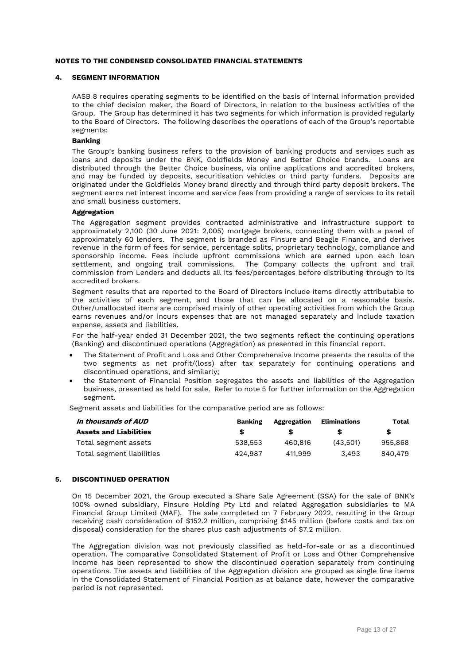#### **4. SEGMENT INFORMATION**

AASB 8 requires operating segments to be identified on the basis of internal information provided to the chief decision maker, the Board of Directors, in relation to the business activities of the Group. The Group has determined it has two segments for which information is provided regularly to the Board of Directors. The following describes the operations of each of the Group's reportable segments:

# **Banking**

The Group's banking business refers to the provision of banking products and services such as loans and deposits under the BNK, Goldfields Money and Better Choice brands. Loans are distributed through the Better Choice business, via online applications and accredited brokers, and may be funded by deposits, securitisation vehicles or third party funders. Deposits are originated under the Goldfields Money brand directly and through third party deposit brokers. The segment earns net interest income and service fees from providing a range of services to its retail and small business customers.

#### **Aggregation**

The Aggregation segment provides contracted administrative and infrastructure support to approximately 2,100 (30 June 2021: 2,005) mortgage brokers, connecting them with a panel of approximately 60 lenders. The segment is branded as Finsure and Beagle Finance, and derives revenue in the form of fees for service, percentage splits, proprietary technology, compliance and sponsorship income. Fees include upfront commissions which are earned upon each loan settlement, and ongoing trail commissions. The Company collects the upfront and trail commission from Lenders and deducts all its fees/percentages before distributing through to its accredited brokers.

Segment results that are reported to the Board of Directors include items directly attributable to the activities of each segment, and those that can be allocated on a reasonable basis. Other/unallocated items are comprised mainly of other operating activities from which the Group earns revenues and/or incurs expenses that are not managed separately and include taxation expense, assets and liabilities.

For the half-year ended 31 December 2021, the two segments reflect the continuing operations (Banking) and discontinued operations (Aggregation) as presented in this financial report.

- The Statement of Profit and Loss and Other Comprehensive Income presents the results of the two segments as net profit/(loss) after tax separately for continuing operations and discontinued operations, and similarly;
- the Statement of Financial Position segregates the assets and liabilities of the Aggregation business, presented as held for sale. Refer to note 5 for further information on the Aggregation segment.

Segment assets and liabilities for the comparative period are as follows:

| In thousands of AUD           | Banking | Aggregation | <b>Eliminations</b> | Total   |
|-------------------------------|---------|-------------|---------------------|---------|
| <b>Assets and Liabilities</b> |         |             |                     | S       |
| Total segment assets          | 538.553 | 460.816     | (43.501)            | 955.868 |
| Total segment liabilities     | 424.987 | 411.999     | 3.493               | 840.479 |

# **5. DISCONTINUED OPERATION**

On 15 December 2021, the Group executed a Share Sale Agreement (SSA) for the sale of BNK's 100% owned subsidiary, Finsure Holding Pty Ltd and related Aggregation subsidiaries to MA Financial Group Limited (MAF). The sale completed on 7 February 2022, resulting in the Group receiving cash consideration of \$152.2 million, comprising \$145 million (before costs and tax on disposal) consideration for the shares plus cash adjustments of \$7.2 million.

The Aggregation division was not previously classified as held-for-sale or as a discontinued operation. The comparative Consolidated Statement of Profit or Loss and Other Comprehensive Income has been represented to show the discontinued operation separately from continuing operations. The assets and liabilities of the Aggregation division are grouped as single line items in the Consolidated Statement of Financial Position as at balance date, however the comparative period is not represented.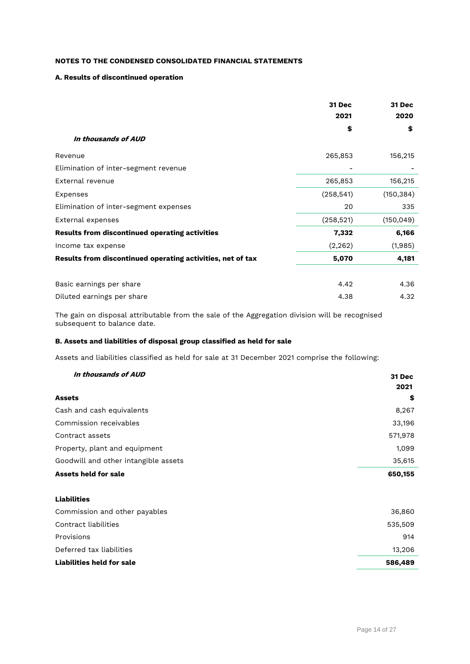# **A. Results of discontinued operation**

|                                                            | 31 Dec<br>2021 | 31 Dec<br>2020 |
|------------------------------------------------------------|----------------|----------------|
|                                                            | \$             | \$             |
| In thousands of AUD                                        |                |                |
| Revenue                                                    | 265,853        | 156,215        |
| Elimination of inter-segment revenue                       |                |                |
| External revenue                                           | 265,853        | 156,215        |
| Expenses                                                   | (258, 541)     | (150, 384)     |
| Elimination of inter-segment expenses                      | 20             | 335            |
| External expenses                                          | (258, 521)     | (150, 049)     |
| <b>Results from discontinued operating activities</b>      | 7,332          | 6,166          |
| Income tax expense                                         | (2, 262)       | (1,985)        |
| Results from discontinued operating activities, net of tax | 5,070          | 4,181          |
| Basic earnings per share                                   | 4.42           | 4.36           |
| Diluted earnings per share                                 | 4.38           | 4.32           |

The gain on disposal attributable from the sale of the Aggregation division will be recognised subsequent to balance date.

# **B. Assets and liabilities of disposal group classified as held for sale**

Assets and liabilities classified as held for sale at 31 December 2021 comprise the following:

| In thousands of AUD                  | 31 Dec  |
|--------------------------------------|---------|
|                                      | 2021    |
| <b>Assets</b>                        | \$      |
| Cash and cash equivalents            | 8,267   |
| Commission receivables               | 33,196  |
| Contract assets                      | 571,978 |
| Property, plant and equipment        | 1,099   |
| Goodwill and other intangible assets | 35,615  |
| <b>Assets held for sale</b>          | 650,155 |
| <b>Liabilities</b>                   |         |
| Commission and other payables        | 36,860  |
| Contract liabilities                 | 535,509 |
| Provisions                           | 914     |
| Deferred tax liabilities             | 13,206  |
| <b>Liabilities held for sale</b>     | 586,489 |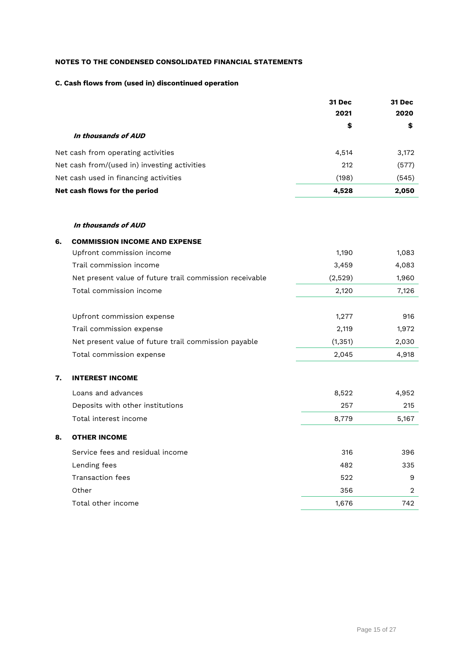# **C. Cash flows from (used in) discontinued operation**

|                                              | 31 Dec | 31 Dec |
|----------------------------------------------|--------|--------|
|                                              | 2021   | 2020   |
|                                              | \$     | \$     |
| In thousands of AUD                          |        |        |
| Net cash from operating activities           | 4,514  | 3,172  |
| Net cash from/(used in) investing activities | 212    | (577)  |
| Net cash used in financing activities        | (198)  | (545)  |
| Net cash flows for the period                | 4,528  | 2,050  |

# **In thousands of AUD**

| 6. | <b>COMMISSION INCOME AND EXPENSE</b>                    |          |                |
|----|---------------------------------------------------------|----------|----------------|
|    | Upfront commission income                               | 1,190    | 1,083          |
|    | Trail commission income                                 | 3,459    | 4,083          |
|    | Net present value of future trail commission receivable | (2,529)  | 1,960          |
|    | Total commission income                                 | 2,120    | 7,126          |
|    | Upfront commission expense                              | 1,277    | 916            |
|    | Trail commission expense                                | 2,119    | 1,972          |
|    | Net present value of future trail commission payable    | (1, 351) | 2,030          |
|    | Total commission expense                                | 2,045    | 4,918          |
| 7. | <b>INTEREST INCOME</b>                                  |          |                |
|    | Loans and advances                                      | 8,522    | 4,952          |
|    | Deposits with other institutions                        | 257      | 215            |
|    | Total interest income                                   | 8,779    | 5,167          |
| 8. | <b>OTHER INCOME</b>                                     |          |                |
|    | Service fees and residual income                        | 316      | 396            |
|    | Lending fees                                            | 482      | 335            |
|    | <b>Transaction fees</b>                                 | 522      | 9              |
|    | Other                                                   | 356      | $\overline{2}$ |
|    | Total other income                                      | 1,676    | 742            |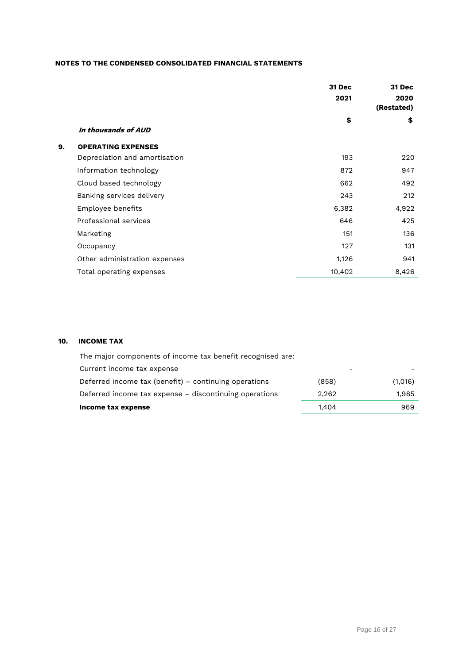|    |                               | 31 Dec<br>2021 | 31 Dec<br>2020<br>(Restated) |
|----|-------------------------------|----------------|------------------------------|
|    | In thousands of AUD           | \$             | \$                           |
| 9. | <b>OPERATING EXPENSES</b>     |                |                              |
|    | Depreciation and amortisation | 193            | 220                          |
|    | Information technology        | 872            | 947                          |
|    | Cloud based technology        | 662            | 492                          |
|    | Banking services delivery     | 243            | 212                          |
|    | Employee benefits             | 6,382          | 4,922                        |
|    | Professional services         | 646            | 425                          |
|    | Marketing                     | 151            | 136                          |
|    | Occupancy                     | 127            | 131                          |
|    | Other administration expenses | 1,126          | 941                          |
|    | Total operating expenses      | 10,402         | 8,426                        |

# **10. INCOME TAX**

| Income tax expense                                         | 1.404 | 969     |
|------------------------------------------------------------|-------|---------|
| Deferred income tax expense - discontinuing operations     | 2.262 | 1,985   |
| Deferred income tax (benefit) – continuing operations      | (858) | (1,016) |
| Current income tax expense                                 |       |         |
| The major components of income tax benefit recognised are: |       |         |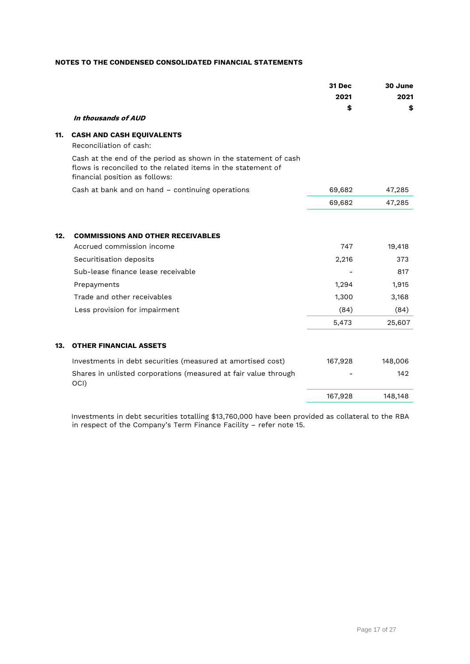|     |                                                                                                                                                                   | 31 Dec<br>2021<br>\$ | 30 June<br>2021<br>\$ |
|-----|-------------------------------------------------------------------------------------------------------------------------------------------------------------------|----------------------|-----------------------|
|     | In thousands of AUD                                                                                                                                               |                      |                       |
| 11. | <b>CASH AND CASH EQUIVALENTS</b><br>Reconciliation of cash:                                                                                                       |                      |                       |
|     | Cash at the end of the period as shown in the statement of cash<br>flows is reconciled to the related items in the statement of<br>financial position as follows: |                      |                       |
|     | Cash at bank and on hand - continuing operations                                                                                                                  | 69,682               | 47,285                |
|     |                                                                                                                                                                   | 69,682               | 47,285                |
| 12. | <b>COMMISSIONS AND OTHER RECEIVABLES</b>                                                                                                                          |                      |                       |
|     | Accrued commission income                                                                                                                                         | 747                  | 19,418                |
|     | Securitisation deposits                                                                                                                                           | 2,216                | 373                   |
|     | Sub-lease finance lease receivable                                                                                                                                |                      | 817                   |
|     | Prepayments                                                                                                                                                       | 1,294                | 1,915                 |
|     | Trade and other receivables                                                                                                                                       | 1,300                | 3,168                 |
|     | Less provision for impairment                                                                                                                                     | (84)                 | (84)                  |
|     |                                                                                                                                                                   | 5,473                | 25,607                |
| 13. | <b>OTHER FINANCIAL ASSETS</b>                                                                                                                                     |                      |                       |
|     | Investments in debt securities (measured at amortised cost)                                                                                                       | 167,928              | 148,006               |
|     | Shares in unlisted corporations (measured at fair value through<br>OCI)                                                                                           |                      | 142                   |
|     |                                                                                                                                                                   | 167,928              | 148,148               |
|     |                                                                                                                                                                   |                      |                       |

 Investments in debt securities totalling \$13,760,000 have been provided as collateral to the RBA in respect of the Company's Term Finance Facility – refer note 15.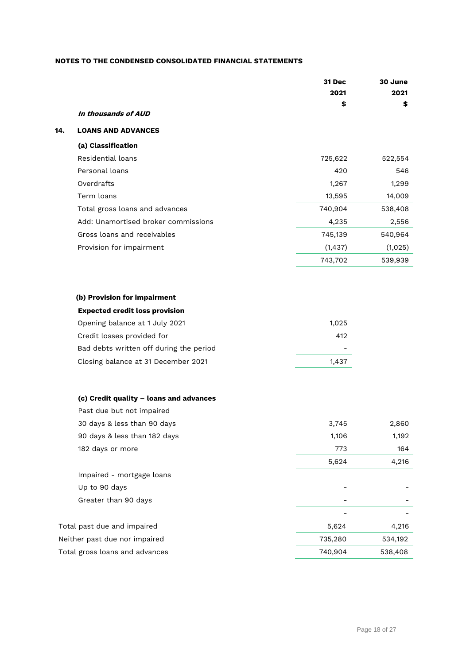|     |                                         | <b>31 Dec</b> | 30 June |
|-----|-----------------------------------------|---------------|---------|
|     |                                         | 2021          | 2021    |
|     |                                         | \$            | \$      |
|     | In thousands of AUD                     |               |         |
| 14. | <b>LOANS AND ADVANCES</b>               |               |         |
|     | (a) Classification                      |               |         |
|     | Residential loans                       | 725,622       | 522,554 |
|     | Personal loans                          | 420           | 546     |
|     | Overdrafts                              | 1,267         | 1,299   |
|     | Term loans                              | 13,595        | 14,009  |
|     | Total gross loans and advances          | 740,904       | 538,408 |
|     | Add: Unamortised broker commissions     | 4,235         | 2,556   |
|     | Gross loans and receivables             | 745,139       | 540,964 |
|     | Provision for impairment                | (1, 437)      | (1,025) |
|     |                                         | 743,702       | 539,939 |
|     |                                         |               |         |
|     | (b) Provision for impairment            |               |         |
|     | <b>Expected credit loss provision</b>   |               |         |
|     | Opening balance at 1 July 2021          | 1,025         |         |
|     | Credit losses provided for              | 412           |         |
|     | Bad debts written off during the period |               |         |
|     | Closing balance at 31 December 2021     | 1,437         |         |
|     |                                         |               |         |
|     | (c) Credit quality - loans and advances |               |         |
|     | Past due but not impaired               |               |         |
|     | 30 days & less than 90 days             | 3,745         | 2,860   |
|     | 90 days & less than 182 days            | 1,106         | 1,192   |
|     | 182 days or more                        | 773           | 164     |
|     |                                         | 5,624         | 4,216   |
|     | Impaired - mortgage loans               |               |         |
|     | Up to 90 days                           |               |         |
|     | Greater than 90 days                    |               |         |
|     |                                         |               |         |
|     | Total past due and impaired             | 5,624         | 4,216   |
|     | Neither past due nor impaired           | 735,280       | 534,192 |
|     | Total gross loans and advances          | 740,904       | 538,408 |
|     |                                         |               |         |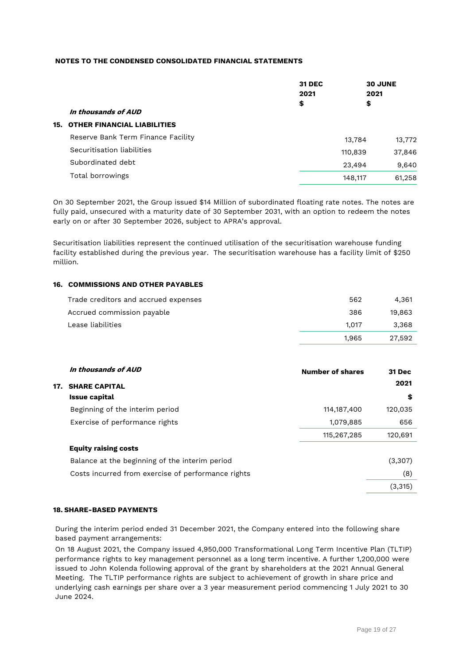| In thousands of AUD                    |                             |                                                                                                               |
|----------------------------------------|-----------------------------|---------------------------------------------------------------------------------------------------------------|
| <b>15. OTHER FINANCIAL LIABILITIES</b> |                             |                                                                                                               |
| Reserve Bank Term Finance Facility     |                             |                                                                                                               |
| Securitisation liabilities             |                             |                                                                                                               |
| Subordinated debt                      |                             |                                                                                                               |
| Total borrowings                       |                             |                                                                                                               |
|                                        | <b>31 DEC</b><br>2021<br>\$ | <b>30 JUNE</b><br>2021<br>\$<br>13,784<br>13,772<br>37,846<br>110,839<br>9,640<br>23,494<br>61,258<br>148,117 |

On 30 September 2021, the Group issued \$14 Million of subordinated floating rate notes. The notes are fully paid, unsecured with a maturity date of 30 September 2031, with an option to redeem the notes early on or after 30 September 2026, subject to APRA's approval.

Securitisation liabilities represent the continued utilisation of the securitisation warehouse funding facility established during the previous year. The securitisation warehouse has a facility limit of \$250 million.

# **16. COMMISSIONS AND OTHER PAYABLES**

| Trade creditors and accrued expenses | 562   | 4.361  |
|--------------------------------------|-------|--------|
| Accrued commission payable           | 386   | 19.863 |
| Lease liabilities                    | 1.017 | 3.368  |
|                                      | 1.965 | 27.592 |

|     | In thousands of AUD                                | <b>Number of shares</b> | 31 Dec  |
|-----|----------------------------------------------------|-------------------------|---------|
| 17. | <b>SHARE CAPITAL</b>                               |                         | 2021    |
|     | <b>Issue capital</b>                               |                         | \$      |
|     | Beginning of the interim period                    | 114, 187, 400           | 120,035 |
|     | Exercise of performance rights                     | 1,079,885               | 656     |
|     |                                                    | 115,267,285             | 120,691 |
|     | <b>Equity raising costs</b>                        |                         |         |
|     | Balance at the beginning of the interim period     |                         | (3,307) |
|     | Costs incurred from exercise of performance rights |                         | (8)     |
|     |                                                    |                         | (3,315) |

# **18. SHARE-BASED PAYMENTS**

During the interim period ended 31 December 2021, the Company entered into the following share based payment arrangements:

On 18 August 2021, the Company issued 4,950,000 Transformational Long Term Incentive Plan (TLTIP) performance rights to key management personnel as a long term incentive. A further 1,200,000 were issued to John Kolenda following approval of the grant by shareholders at the 2021 Annual General Meeting. The TLTIP performance rights are subject to achievement of growth in share price and underlying cash earnings per share over a 3 year measurement period commencing 1 July 2021 to 30 June 2024.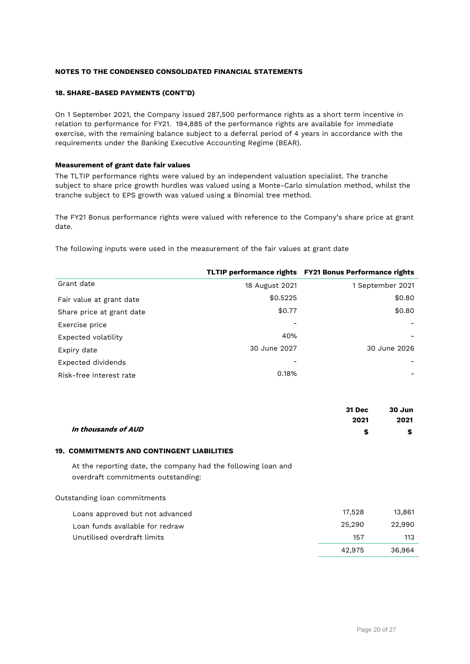#### **18. SHARE-BASED PAYMENTS (CONT'D)**

On 1 September 2021, the Company issued 287,500 performance rights as a short term incentive in relation to performance for FY21. 194,885 of the performance rights are available for immediate exercise, with the remaining balance subject to a deferral period of 4 years in accordance with the requirements under the Banking Executive Accounting Regime (BEAR).

# **Measurement of grant date fair values**

The TLTIP performance rights were valued by an independent valuation specialist. The tranche subject to share price growth hurdles was valued using a Monte-Carlo simulation method, whilst the tranche subject to EPS growth was valued using a Binomial tree method.

The FY21 Bonus performance rights were valued with reference to the Company's share price at grant date.

The following inputs were used in the measurement of the fair values at grant date

|                           |                | TLTIP performance rights FY21 Bonus Performance rights |
|---------------------------|----------------|--------------------------------------------------------|
| Grant date                | 18 August 2021 | 1 September 2021                                       |
| Fair value at grant date  | \$0.5225       | \$0.80                                                 |
| Share price at grant date | \$0.77         | \$0.80                                                 |
| Exercise price            |                |                                                        |
| Expected volatility       | 40%            |                                                        |
| Expiry date               | 30 June 2027   | 30 June 2026                                           |
| Expected dividends        |                |                                                        |
| Risk-free interest rate   | 0.18%          |                                                        |

| 31 Dec                    | 30 Jun |
|---------------------------|--------|
| 2021                      | 2021   |
| In thousands of AUD<br>\$ | \$     |

#### **19. COMMITMENTS AND CONTINGENT LIABILITIES**

At the reporting date, the company had the following loan and overdraft commitments outstanding:

Outstanding loan commitments

| Loans approved but not advanced | 17.528 | 13,861 |
|---------------------------------|--------|--------|
| Loan funds available for redraw | 25.290 | 22.990 |
| Unutilised overdraft limits     | 157    | 113    |
|                                 | 42.975 | 36.964 |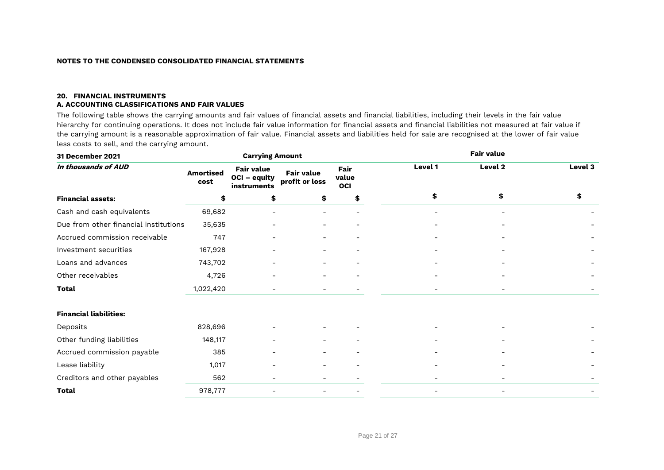#### **20. FINANCIAL INSTRUMENTS A. ACCOUNTING CLASSIFICATIONS AND FAIR VALUES**

The following table shows the carrying amounts and fair values of financial assets and financial liabilities, including their levels in the fair value hierarchy for continuing operations. It does not include fair value information for financial assets and financial liabilities not measured at fair value if the carrying amount is a reasonable approximation of fair value. Financial assets and liabilities held for sale are recognised at the lower of fair value less costs to sell, and the carrying amount.

| 31 December 2021                      |                          | <b>Carrying Amount</b>                                  |                                     |                      |         |                | <b>Fair value</b>        |         |
|---------------------------------------|--------------------------|---------------------------------------------------------|-------------------------------------|----------------------|---------|----------------|--------------------------|---------|
| In thousands of AUD                   | <b>Amortised</b><br>cost | <b>Fair value</b><br><b>OCI - equity</b><br>instruments | <b>Fair value</b><br>profit or loss | Fair<br>value<br>OCI | Level 1 |                | Level 2                  | Level 3 |
| <b>Financial assets:</b>              | \$                       | \$                                                      | \$                                  | \$                   |         | \$             | \$                       |         |
| Cash and cash equivalents             | 69,682                   |                                                         |                                     |                      |         |                |                          |         |
| Due from other financial institutions | 35,635                   |                                                         |                                     |                      |         |                |                          |         |
| Accrued commission receivable         | 747                      |                                                         |                                     |                      |         |                |                          |         |
| Investment securities                 | 167,928                  |                                                         |                                     |                      |         |                |                          |         |
| Loans and advances                    | 743,702                  |                                                         |                                     |                      |         |                |                          |         |
| Other receivables                     | 4,726                    |                                                         |                                     |                      |         |                |                          |         |
| Total                                 | 1,022,420                |                                                         |                                     |                      |         | $\overline{a}$ | $\overline{\phantom{a}}$ |         |
| <b>Financial liabilities:</b>         |                          |                                                         |                                     |                      |         |                |                          |         |
| Deposits                              | 828,696                  |                                                         |                                     |                      |         |                |                          |         |
| Other funding liabilities             | 148,117                  |                                                         |                                     |                      |         |                |                          |         |
| Accrued commission payable            | 385                      |                                                         |                                     |                      |         |                |                          |         |
| Lease liability                       | 1,017                    |                                                         |                                     |                      |         |                |                          |         |
| Creditors and other payables          | 562                      |                                                         |                                     |                      |         |                |                          |         |
| <b>Total</b>                          | 978,777                  |                                                         |                                     |                      |         | -              | $\overline{\phantom{a}}$ |         |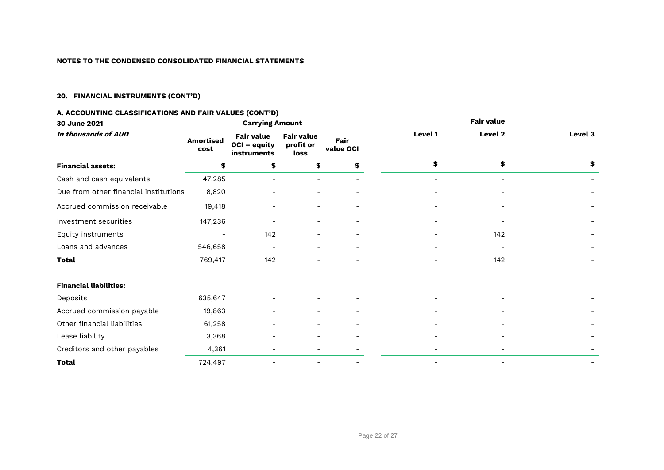# **20. FINANCIAL INSTRUMENTS (CONT'D)**

# **A. ACCOUNTING CLASSIFICATIONS AND FAIR VALUES (CONT'D)**

| 30 June 2021                          |                          | <b>Carrying Amount</b>                           |                                        |                          |                          | <b>Fair value</b>        |         |
|---------------------------------------|--------------------------|--------------------------------------------------|----------------------------------------|--------------------------|--------------------------|--------------------------|---------|
| In thousands of AUD                   | <b>Amortised</b><br>cost | <b>Fair value</b><br>OCI - equity<br>instruments | <b>Fair value</b><br>profit or<br>loss | Fair<br>value OCI        | Level 1                  | Level 2                  | Level 3 |
| <b>Financial assets:</b>              | \$                       | \$                                               | \$                                     | \$                       | \$                       | \$                       | \$      |
| Cash and cash equivalents             | 47,285                   |                                                  |                                        | $\overline{a}$           |                          | $\overline{a}$           |         |
| Due from other financial institutions | 8,820                    |                                                  |                                        |                          |                          |                          |         |
| Accrued commission receivable         | 19,418                   | -                                                | $\overline{\phantom{0}}$               | $\overline{a}$           |                          |                          |         |
| Investment securities                 | 147,236                  |                                                  |                                        |                          |                          |                          |         |
| Equity instruments                    |                          | 142                                              |                                        |                          |                          | 142                      |         |
| Loans and advances                    | 546,658                  | $\overline{\phantom{a}}$                         | $\overline{\phantom{0}}$               |                          | $\overline{\phantom{0}}$ |                          |         |
| Total                                 | 769,417                  | 142                                              | $\overline{a}$                         |                          | $\qquad \qquad -$        | 142                      |         |
| <b>Financial liabilities:</b>         |                          |                                                  |                                        |                          |                          |                          |         |
| Deposits                              | 635,647                  |                                                  |                                        |                          |                          |                          |         |
| Accrued commission payable            | 19,863                   |                                                  |                                        |                          |                          |                          |         |
| Other financial liabilities           | 61,258                   |                                                  |                                        |                          |                          |                          |         |
| Lease liability                       | 3,368                    | $\qquad \qquad$                                  | $\overline{\phantom{0}}$               |                          |                          |                          |         |
| Creditors and other payables          | 4,361                    |                                                  | -                                      |                          |                          |                          |         |
| Total                                 | 724,497                  |                                                  |                                        | $\overline{\phantom{0}}$ | $\overline{\phantom{0}}$ | $\overline{\phantom{a}}$ |         |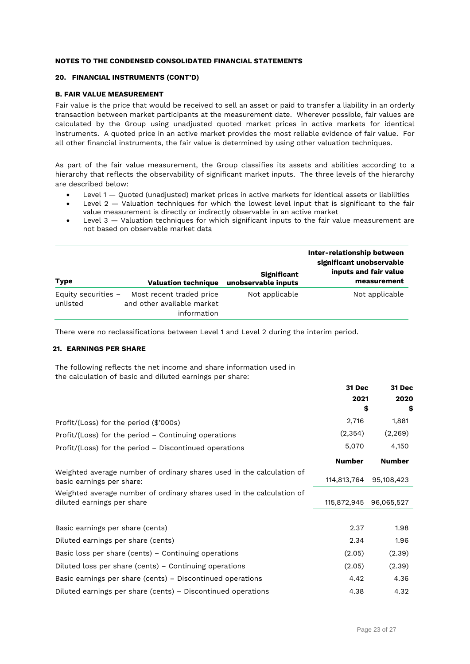#### **20. FINANCIAL INSTRUMENTS (CONT'D)**

# **B. FAIR VALUE MEASUREMENT**

Fair value is the price that would be received to sell an asset or paid to transfer a liability in an orderly transaction between market participants at the measurement date. Wherever possible, fair values are calculated by the Group using unadjusted quoted market prices in active markets for identical instruments. A quoted price in an active market provides the most reliable evidence of fair value. For all other financial instruments, the fair value is determined by using other valuation techniques.

As part of the fair value measurement, the Group classifies its assets and abilities according to a hierarchy that reflects the observability of significant market inputs. The three levels of the hierarchy are described below:

- Level 1 Quoted (unadjusted) market prices in active markets for identical assets or liabilities
- Level 2 Valuation techniques for which the lowest level input that is significant to the fair value measurement is directly or indirectly observable in an active market
- Level 3 Valuation techniques for which significant inputs to the fair value measurement are not based on observable market data

| Type                              | <b>Valuation technique</b>                                            | <b>Significant</b><br>unobservable inputs | Inter-relationship between<br>significant unobservable<br>inputs and fair value<br>measurement |
|-----------------------------------|-----------------------------------------------------------------------|-------------------------------------------|------------------------------------------------------------------------------------------------|
| Equity securities $-$<br>unlisted | Most recent traded price<br>and other available market<br>information | Not applicable                            | Not applicable                                                                                 |

There were no reclassifications between Level 1 and Level 2 during the interim period.

# **21. EARNINGS PER SHARE**

The following reflects the net income and share information used in the calculation of basic and diluted earnings per share:

|                                                                                                     | <b>31 Dec</b> | <b>31 Dec</b> |  |
|-----------------------------------------------------------------------------------------------------|---------------|---------------|--|
|                                                                                                     | 2021          | 2020          |  |
|                                                                                                     | \$            | \$            |  |
| Profit/(Loss) for the period (\$'000s)                                                              | 2,716         | 1,881         |  |
| Profit/(Loss) for the period $-$ Continuing operations                                              | (2, 354)      | (2, 269)      |  |
| Profit/(Loss) for the period - Discontinued operations                                              | 5,070         | 4,150         |  |
|                                                                                                     | <b>Number</b> | <b>Number</b> |  |
| Weighted average number of ordinary shares used in the calculation of<br>basic earnings per share:  | 114,813,764   | 95,108,423    |  |
| Weighted average number of ordinary shares used in the calculation of<br>diluted earnings per share | 115,872,945   | 96,065,527    |  |
|                                                                                                     |               |               |  |
| Basic earnings per share (cents)                                                                    | 2.37          | 1.98          |  |
| Diluted earnings per share (cents)                                                                  | 2.34          | 1.96          |  |
| Basic loss per share (cents) - Continuing operations                                                | (2.05)        | (2.39)        |  |
| Diluted loss per share (cents) – Continuing operations                                              | (2.05)        | (2.39)        |  |
| Basic earnings per share (cents) – Discontinued operations                                          | 4.42          | 4.36          |  |
| Diluted earnings per share (cents) – Discontinued operations                                        | 4.38          | 4.32          |  |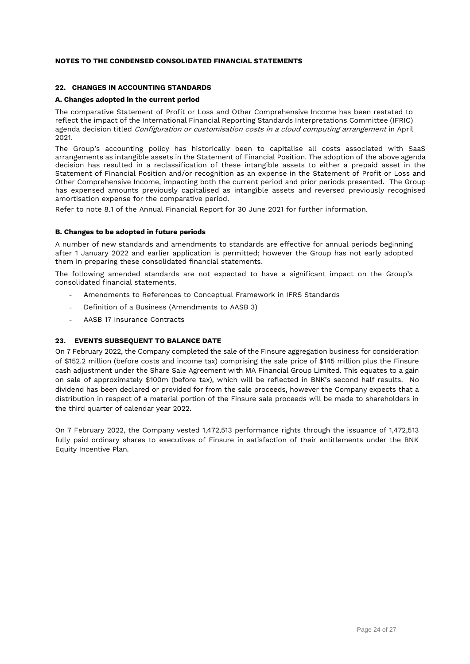# **22. CHANGES IN ACCOUNTING STANDARDS**

# **A. Changes adopted in the current period**

The comparative Statement of Profit or Loss and Other Comprehensive Income has been restated to reflect the impact of the International Financial Reporting Standards Interpretations Committee (IFRIC) agenda decision titled *Configuration or customisation costs in a cloud computing arrangement* in April 2021.

The Group's accounting policy has historically been to capitalise all costs associated with SaaS arrangements as intangible assets in the Statement of Financial Position. The adoption of the above agenda decision has resulted in a reclassification of these intangible assets to either a prepaid asset in the Statement of Financial Position and/or recognition as an expense in the Statement of Profit or Loss and Other Comprehensive Income, impacting both the current period and prior periods presented. The Group has expensed amounts previously capitalised as intangible assets and reversed previously recognised amortisation expense for the comparative period.

Refer to note 8.1 of the Annual Financial Report for 30 June 2021 for further information.

# **B. Changes to be adopted in future periods**

A number of new standards and amendments to standards are effective for annual periods beginning after 1 January 2022 and earlier application is permitted; however the Group has not early adopted them in preparing these consolidated financial statements.

The following amended standards are not expected to have a significant impact on the Group's consolidated financial statements.

- Amendments to References to Conceptual Framework in IFRS Standards
- Definition of a Business (Amendments to AASB 3)  $\overline{\phantom{a}}$
- AASB 17 Insurance Contracts

# **23. EVENTS SUBSEQUENT TO BALANCE DATE**

On 7 February 2022, the Company completed the sale of the Finsure aggregation business for consideration of \$152.2 million (before costs and income tax) comprising the sale price of \$145 million plus the Finsure cash adjustment under the Share Sale Agreement with MA Financial Group Limited. This equates to a gain on sale of approximately \$100m (before tax), which will be reflected in BNK's second half results. No dividend has been declared or provided for from the sale proceeds, however the Company expects that a distribution in respect of a material portion of the Finsure sale proceeds will be made to shareholders in the third quarter of calendar year 2022.

On 7 February 2022, the Company vested 1,472,513 performance rights through the issuance of 1,472,513 fully paid ordinary shares to executives of Finsure in satisfaction of their entitlements under the BNK Equity Incentive Plan.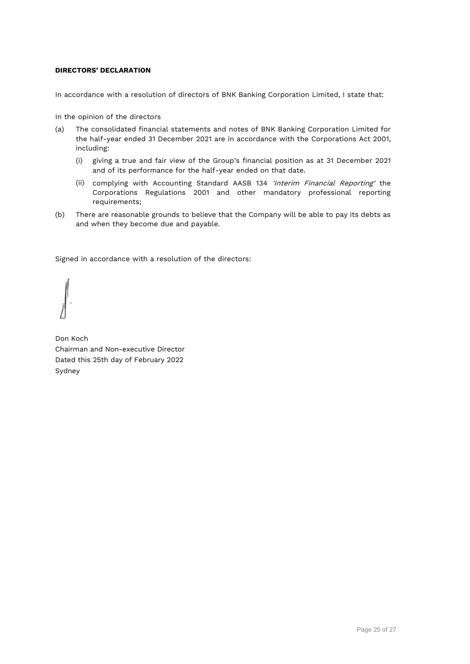# <span id="page-25-0"></span>**DIRECTORS' DECLARATION**

In accordance with a resolution of directors of BNK Banking Corporation Limited, I state that:

In the opinion of the directors

- (a) The consolidated financial statements and notes of BNK Banking Corporation Limited for the half-year ended 31 December 2021 are in accordance with the Corporations Act 2001, including:
	- (i) giving a true and fair view of the Group's financial position as at 31 December 2021 and of its performance for the half-year ended on that date.
	- (ii) complying with Accounting Standard AASB 134 'Interim Financial Reporting' the Corporations Regulations 2001 and other mandatory professional reporting requirements;
- (b) There are reasonable grounds to believe that the Company will be able to pay its debts as and when they become due and payable.

Signed in accordance with a resolution of the directors:

Don Koch Chairman and Non-executive Director Dated this 25th day of February 2022 Sydney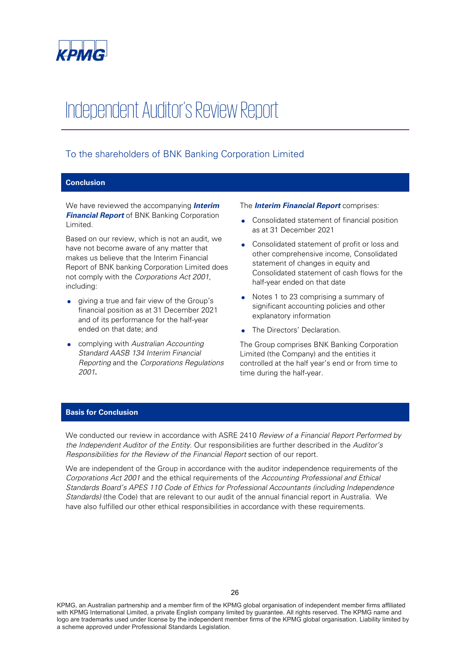

# Independent Auditor's Review Report

# To the shareholders of BNK Banking Corporation Limited

# **Conclusion**

We have reviewed the accompanying **Interim Financial Report** of BNK Banking Corporation Limited.

Based on our review, which is not an audit, we have not become aware of any matter that makes us believe that the Interim Financial Report of BNK banking Corporation Limited does not comply with the Corporations Act 2001, including:

- giving a true and fair view of the Group's financial position as at 31 December 2021 and of its performance for the half-year ended on that date; and
- complying with Australian Accounting Standard AASB 134 Interim Financial Reporting and the Corporations Regulations 2001**.**

#### The **Interim Financial Report** comprises:

- Consolidated statement of financial position as at 31 December 2021
- Consolidated statement of profit or loss and other comprehensive income, Consolidated statement of changes in equity and Consolidated statement of cash flows for the half-year ended on that date
- Notes 1 to 23 comprising a summary of significant accounting policies and other explanatory information
- The Directors' Declaration.

The Group comprises BNK Banking Corporation Limited (the Company) and the entities it controlled at the half year's end or from time to time during the half-year.

# **Basis for Conclusion**

We conducted our review in accordance with ASRE 2410 Review of a Financial Report Performed by the Independent Auditor of the Entity. Our responsibilities are further described in the Auditor's Responsibilities for the Review of the Financial Report section of our report.

We are independent of the Group in accordance with the auditor independence requirements of the Corporations Act 2001 and the ethical requirements of the Accounting Professional and Ethical Standards Board's APES 110 Code of Ethics for Professional Accountants (including Independence Standards) (the Code) that are relevant to our audit of the annual financial report in Australia. We have also fulfilled our other ethical responsibilities in accordance with these requirements.

KPMG, an Australian partnership and a member firm of the KPMG global organisation of independent member firms affiliated with KPMG International Limited, a private English company limited by guarantee. All rights reserved. The KPMG name and logo are trademarks used under license by the independent member firms of the KPMG global organisation. Liability limited by a scheme approved under Professional Standards Legislation.